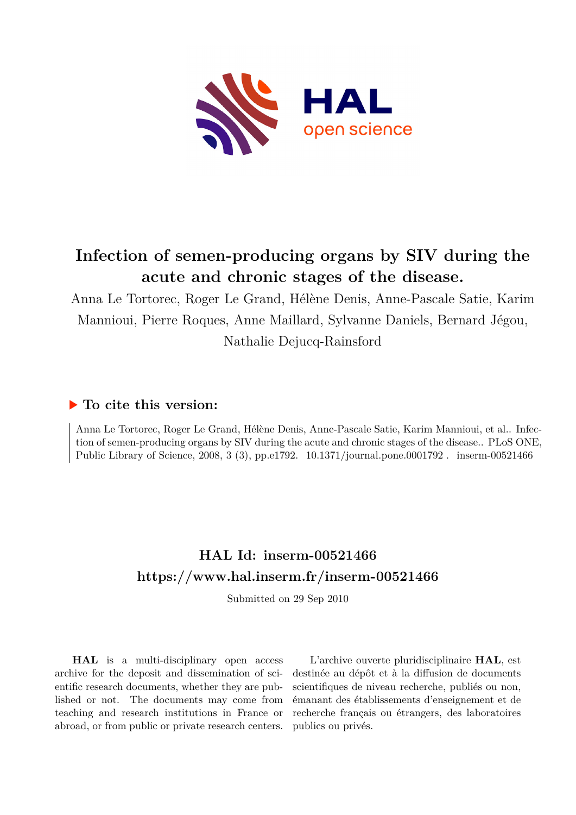

# **Infection of semen-producing organs by SIV during the acute and chronic stages of the disease.**

Anna Le Tortorec, Roger Le Grand, Hélène Denis, Anne-Pascale Satie, Karim Mannioui, Pierre Roques, Anne Maillard, Sylvanne Daniels, Bernard Jégou, Nathalie Dejucq-Rainsford

# **To cite this version:**

Anna Le Tortorec, Roger Le Grand, Hélène Denis, Anne-Pascale Satie, Karim Mannioui, et al.. Infection of semen-producing organs by SIV during the acute and chronic stages of the disease.. PLoS ONE, Public Library of Science, 2008, 3 (3), pp.e1792. 10.1371/journal.pone.0001792. inserm-00521466

# **HAL Id: inserm-00521466 <https://www.hal.inserm.fr/inserm-00521466>**

Submitted on 29 Sep 2010

**HAL** is a multi-disciplinary open access archive for the deposit and dissemination of scientific research documents, whether they are published or not. The documents may come from teaching and research institutions in France or abroad, or from public or private research centers.

L'archive ouverte pluridisciplinaire **HAL**, est destinée au dépôt et à la diffusion de documents scientifiques de niveau recherche, publiés ou non, émanant des établissements d'enseignement et de recherche français ou étrangers, des laboratoires publics ou privés.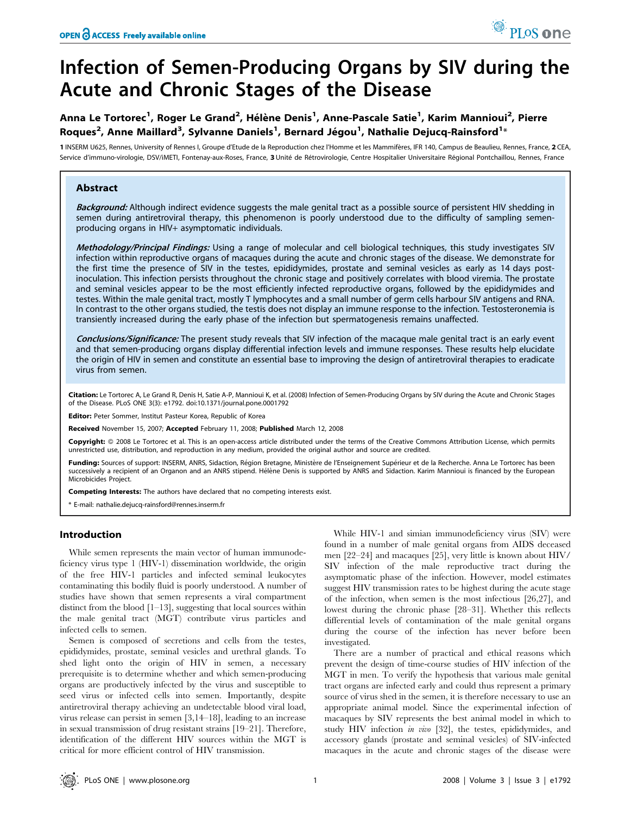# Infection of Semen-Producing Organs by SIV during the Acute and Chronic Stages of the Disease

# Anna Le Tortorec<sup>1</sup>, Roger Le Grand<sup>2</sup>, Hélène Denis<sup>1</sup>, Anne-Pascale Satie<sup>1</sup>, Karim Mannioui<sup>2</sup>, Pierre Roques<sup>2</sup>, Anne Maillard<sup>3</sup>, Sylvanne Daniels<sup>1</sup>, Bernard Jégou<sup>1</sup>, Nathalie Dejucq-Rainsford<sup>1</sup>\*

1 INSERM U625, Rennes, University of Rennes I, Groupe d'Etude de la Reproduction chez l'Homme et les Mammifères, IFR 140, Campus de Beaulieu, Rennes, France, 2 CEA, Service d'immuno-virologie, DSV/iMETI, Fontenay-aux-Roses, France, 3 Unité de Rétrovirologie, Centre Hospitalier Universitaire Régional Pontchaillou, Rennes, France

# Abstract

Background: Although indirect evidence suggests the male genital tract as a possible source of persistent HIV shedding in semen during antiretroviral therapy, this phenomenon is poorly understood due to the difficulty of sampling semenproducing organs in HIV+ asymptomatic individuals.

Methodology/Principal Findings: Using a range of molecular and cell biological techniques, this study investigates SIV infection within reproductive organs of macaques during the acute and chronic stages of the disease. We demonstrate for the first time the presence of SIV in the testes, epididymides, prostate and seminal vesicles as early as 14 days postinoculation. This infection persists throughout the chronic stage and positively correlates with blood viremia. The prostate and seminal vesicles appear to be the most efficiently infected reproductive organs, followed by the epididymides and testes. Within the male genital tract, mostly T lymphocytes and a small number of germ cells harbour SIV antigens and RNA. In contrast to the other organs studied, the testis does not display an immune response to the infection. Testosteronemia is transiently increased during the early phase of the infection but spermatogenesis remains unaffected.

Conclusions/Significance: The present study reveals that SIV infection of the macaque male genital tract is an early event and that semen-producing organs display differential infection levels and immune responses. These results help elucidate the origin of HIV in semen and constitute an essential base to improving the design of antiretroviral therapies to eradicate virus from semen.

Citation: Le Tortorec A, Le Grand R, Denis H, Satie A-P, Mannioui K, et al. (2008) Infection of Semen-Producing Organs by SIV during the Acute and Chronic Stages of the Disease. PLoS ONE 3(3): e1792. doi:10.1371/journal.pone.0001792

Editor: Peter Sommer, Institut Pasteur Korea, Republic of Korea

Received November 15, 2007; Accepted February 11, 2008; Published March 12, 2008

Copyright: @ 2008 Le Tortorec et al. This is an open-access article distributed under the terms of the Creative Commons Attribution License, which permits unrestricted use, distribution, and reproduction in any medium, provided the original author and source are credited.

Funding: Sources of support: INSERM, ANRS, Sidaction, Région Bretagne, Ministère de l'Enseignement Supérieur et de la Recherche. Anna Le Tortorec has been successively a recipient of an Organon and an ANRS stipend. Hélène Denis is supported by ANRS and Sidaction. Karim Mannioui is financed by the European Microbicides Project.

Competing Interests: The authors have declared that no competing interests exist.

\* E-mail: nathalie.dejucq-rainsford@rennes.inserm.fr

# Introduction

While semen represents the main vector of human immunodeficiency virus type 1 (HIV-1) dissemination worldwide, the origin of the free HIV-1 particles and infected seminal leukocytes contaminating this bodily fluid is poorly understood. A number of studies have shown that semen represents a viral compartment distinct from the blood [1–13], suggesting that local sources within the male genital tract (MGT) contribute virus particles and infected cells to semen.

Semen is composed of secretions and cells from the testes, epididymides, prostate, seminal vesicles and urethral glands. To shed light onto the origin of HIV in semen, a necessary prerequisite is to determine whether and which semen-producing organs are productively infected by the virus and susceptible to seed virus or infected cells into semen. Importantly, despite antiretroviral therapy achieving an undetectable blood viral load, virus release can persist in semen [3,14–18], leading to an increase in sexual transmission of drug resistant strains [19–21]. Therefore, identification of the different HIV sources within the MGT is critical for more efficient control of HIV transmission.

While HIV-1 and simian immunodeficiency virus (SIV) were found in a number of male genital organs from AIDS deceased men [22–24] and macaques [25], very little is known about HIV/ SIV infection of the male reproductive tract during the asymptomatic phase of the infection. However, model estimates suggest HIV transmission rates to be highest during the acute stage of the infection, when semen is the most infectious [26,27], and lowest during the chronic phase [28–31]. Whether this reflects differential levels of contamination of the male genital organs during the course of the infection has never before been investigated.

There are a number of practical and ethical reasons which prevent the design of time-course studies of HIV infection of the MGT in men. To verify the hypothesis that various male genital tract organs are infected early and could thus represent a primary source of virus shed in the semen, it is therefore necessary to use an appropriate animal model. Since the experimental infection of macaques by SIV represents the best animal model in which to study HIV infection in vivo [32], the testes, epididymides, and accessory glands (prostate and seminal vesicles) of SIV-infected macaques in the acute and chronic stages of the disease were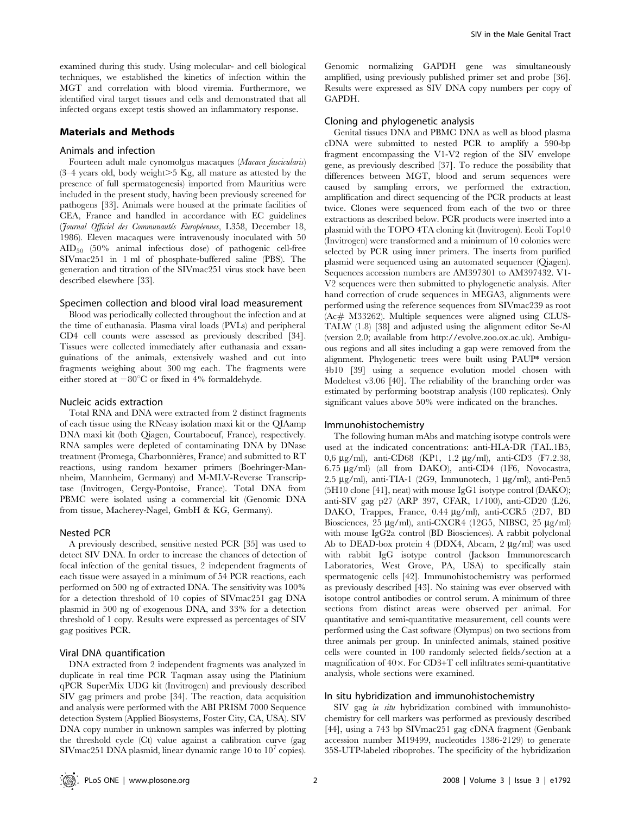examined during this study. Using molecular- and cell biological techniques, we established the kinetics of infection within the MGT and correlation with blood viremia. Furthermore, we identified viral target tissues and cells and demonstrated that all infected organs except testis showed an inflammatory response.

#### Materials and Methods

#### Animals and infection

Fourteen adult male cynomolgus macaques (Macaca fascicularis)  $(3-4)$  years old, body weight $>5$  Kg, all mature as attested by the presence of full spermatogenesis) imported from Mauritius were included in the present study, having been previously screened for pathogens [33]. Animals were housed at the primate facilities of CEA, France and handled in accordance with EC guidelines (Journal Officiel des Communautés Européennes, L358, December 18, 1986). Eleven macaques were intravenously inoculated with 50 AID50 (50% animal infectious dose) of pathogenic cell-free SIVmac251 in 1 ml of phosphate-buffered saline (PBS). The generation and titration of the SIVmac251 virus stock have been described elsewhere [33].

#### Specimen collection and blood viral load measurement

Blood was periodically collected throughout the infection and at the time of euthanasia. Plasma viral loads (PVLs) and peripheral CD4 cell counts were assessed as previously described [34]. Tissues were collected immediately after euthanasia and exsanguinations of the animals, extensively washed and cut into fragments weighing about 300 mg each. The fragments were either stored at  $-80^{\circ}$ C or fixed in 4% formaldehyde.

#### Nucleic acids extraction

Total RNA and DNA were extracted from 2 distinct fragments of each tissue using the RNeasy isolation maxi kit or the QIAamp DNA maxi kit (both Qiagen, Courtaboeuf, France), respectively. RNA samples were depleted of contaminating DNA by DNase treatment (Promega, Charbonnières, France) and submitted to RT reactions, using random hexamer primers (Boehringer-Mannheim, Mannheim, Germany) and M-MLV-Reverse Transcriptase (Invitrogen, Cergy-Pontoise, France). Total DNA from PBMC were isolated using a commercial kit (Genomic DNA from tissue, Macherey-Nagel, GmbH & KG, Germany).

## Nested PCR

A previously described, sensitive nested PCR [35] was used to detect SIV DNA. In order to increase the chances of detection of focal infection of the genital tissues, 2 independent fragments of each tissue were assayed in a minimum of 54 PCR reactions, each performed on 500 ng of extracted DNA. The sensitivity was 100% for a detection threshold of 10 copies of SIVmac251 gag DNA plasmid in 500 ng of exogenous DNA, and 33% for a detection threshold of 1 copy. Results were expressed as percentages of SIV gag positives PCR.

#### Viral DNA quantification

DNA extracted from 2 independent fragments was analyzed in duplicate in real time PCR Taqman assay using the Platinium qPCR SuperMix UDG kit (Invitrogen) and previously described SIV gag primers and probe [34]. The reaction, data acquisition and analysis were performed with the ABI PRISM 7000 Sequence detection System (Applied Biosystems, Foster City, CA, USA). SIV DNA copy number in unknown samples was inferred by plotting the threshold cycle (Ct) value against a calibration curve (gag SIV mac $251$  DNA plasmid, linear dynamic range  $10$  to  $10<sup>7</sup>$  copies).

Genomic normalizing GAPDH gene was simultaneously amplified, using previously published primer set and probe [36]. Results were expressed as SIV DNA copy numbers per copy of GAPDH.

# Cloning and phylogenetic analysis

Genital tissues DNA and PBMC DNA as well as blood plasma cDNA were submitted to nested PCR to amplify a 590-bp fragment encompassing the V1-V2 region of the SIV envelope gene, as previously described [37]. To reduce the possibility that differences between MGT, blood and serum sequences were caused by sampling errors, we performed the extraction, amplification and direct sequencing of the PCR products at least twice. Clones were sequenced from each of the two or three extractions as described below. PCR products were inserted into a plasmid with the TOPO 4TA cloning kit (Invitrogen). Ecoli Top10 (Invitrogen) were transformed and a minimum of 10 colonies were selected by PCR using inner primers. The inserts from purified plasmid were sequenced using an automated sequencer (Qiagen). Sequences accession numbers are AM397301 to AM397432. V1- V2 sequences were then submitted to phylogenetic analysis. After hand correction of crude sequences in MEGA3, alignments were performed using the reference sequences from SIVmac239 as root (Ac*#* M33262). Multiple sequences were aligned using CLUS-TALW (1.8) [38] and adjusted using the alignment editor Se-Al (version 2.0; available from http://evolve.zoo.ox.ac.uk). Ambiguous regions and all sites including a gap were removed from the alignment. Phylogenetic trees were built using PAUP\* version 4b10 [39] using a sequence evolution model chosen with Modeltest v3.06 [40]. The reliability of the branching order was estimated by performing bootstrap analysis (100 replicates). Only significant values above 50% were indicated on the branches.

#### Immunohistochemistry

The following human mAbs and matching isotype controls were used at the indicated concentrations: anti-HLA-DR (TAL.1B5, 0,6 mg/ml), anti-CD68 (KP1, 1.2 mg/ml), anti-CD3 (F7.2.38, 6.75 mg/ml) (all from DAKO), anti-CD4 (1F6, Novocastra, 2.5  $\mu$ g/ml), anti-TIA-1 (2G9, Immunotech, 1  $\mu$ g/ml), anti-Pen5 (5H10 clone [41], neat) with mouse IgG1 isotype control (DAKO); anti-SIV gag p27 (ARP 397, CFAR, 1/100), anti-CD20 (L26, DAKO, Trappes, France, 0.44 µg/ml), anti-CCR5 (2D7, BD Biosciences, 25 µg/ml), anti-CXCR4 (12G5, NIBSC, 25 µg/ml) with mouse IgG2a control (BD Biosciences). A rabbit polyclonal Ab to DEAD-box protein 4 (DDX4, Abcam, 2 µg/ml) was used with rabbit IgG isotype control (Jackson Immunoresearch Laboratories, West Grove, PA, USA) to specifically stain spermatogenic cells [42]. Immunohistochemistry was performed as previously described [43]. No staining was ever observed with isotope control antibodies or control serum. A minimum of three sections from distinct areas were observed per animal. For quantitative and semi-quantitative measurement, cell counts were performed using the Cast software (Olympus) on two sections from three animals per group. In uninfected animals, stained positive cells were counted in 100 randomly selected fields/section at a magnification of  $40\times$ . For CD3+T cell infiltrates semi-quantitative analysis, whole sections were examined.

#### In situ hybridization and immunohistochemistry

SIV gag *in situ* hybridization combined with immunohistochemistry for cell markers was performed as previously described [44], using a 743 bp SIVmac251 gag cDNA fragment (Genbank accession number M19499, nucleotides 1386-2129) to generate 35S-UTP-labeled riboprobes. The specificity of the hybridization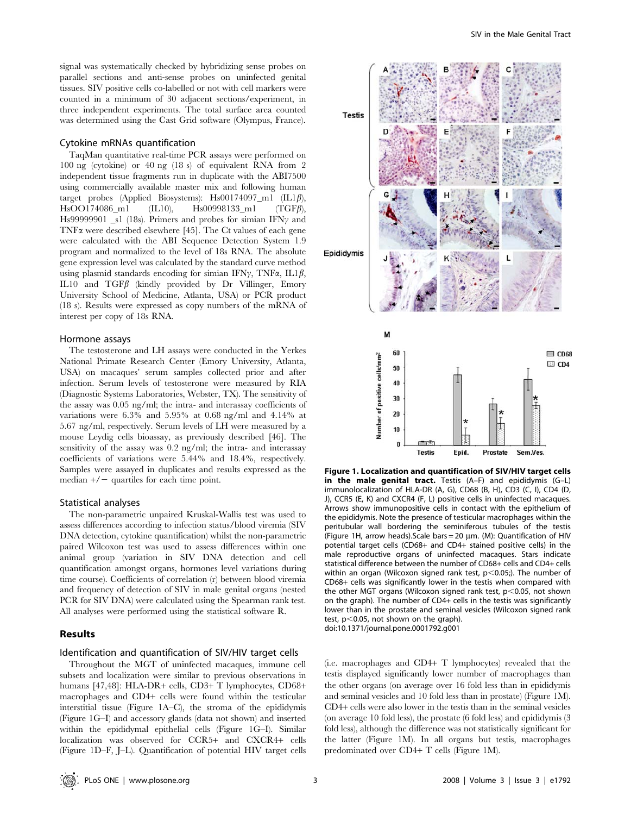signal was systematically checked by hybridizing sense probes on parallel sections and anti-sense probes on uninfected genital tissues. SIV positive cells co-labelled or not with cell markers were counted in a minimum of 30 adjacent sections/experiment, in three independent experiments. The total surface area counted was determined using the Cast Grid software (Olympus, France).

## Cytokine mRNAs quantification

TaqMan quantitative real-time PCR assays were performed on 100 ng (cytokine) or 40 ng (18 s) of equivalent RNA from 2 independent tissue fragments run in duplicate with the ABI7500 using commercially available master mix and following human target probes (Applied Biosystems): Hs00174097\_m1 (IL1 $\beta$ ),  $HsOO174086_m1$  (IL10),  $Hs00998133_m1$  (TGF $\beta$ ), Hs99999901 \_s1 (18s). Primers and probes for simian IFN $\gamma$  and TNFa were described elsewhere [45]. The Ct values of each gene were calculated with the ABI Sequence Detection System 1.9 program and normalized to the level of 18s RNA. The absolute gene expression level was calculated by the standard curve method using plasmid standards encoding for simian IFN $\gamma$ , TNF $\alpha$ , IL1 $\beta$ , IL10 and  $TGF\beta$  (kindly provided by Dr Villinger, Emory University School of Medicine, Atlanta, USA) or PCR product (18 s). Results were expressed as copy numbers of the mRNA of interest per copy of 18s RNA.

#### Hormone assays

The testosterone and LH assays were conducted in the Yerkes National Primate Research Center (Emory University, Atlanta, USA) on macaques' serum samples collected prior and after infection. Serum levels of testosterone were measured by RIA (Diagnostic Systems Laboratories, Webster, TX). The sensitivity of the assay was 0.05 ng/ml; the intra- and interassay coefficients of variations were 6.3% and 5.95% at 0.68 ng/ml and 4.14% at 5.67 ng/ml, respectively. Serum levels of LH were measured by a mouse Leydig cells bioassay, as previously described [46]. The sensitivity of the assay was 0.2 ng/ml; the intra- and interassay coefficients of variations were 5.44% and 18.4%, respectively. Samples were assayed in duplicates and results expressed as the median  $+/-$  quartiles for each time point.

#### Statistical analyses

The non-parametric unpaired Kruskal-Wallis test was used to assess differences according to infection status/blood viremia (SIV DNA detection, cytokine quantification) whilst the non-parametric paired Wilcoxon test was used to assess differences within one animal group (variation in SIV DNA detection and cell quantification amongst organs, hormones level variations during time course). Coefficients of correlation (r) between blood viremia and frequency of detection of SIV in male genital organs (nested PCR for SIV DNA) were calculated using the Spearman rank test. All analyses were performed using the statistical software R.

# Results

## Identification and quantification of SIV/HIV target cells

Throughout the MGT of uninfected macaques, immune cell subsets and localization were similar to previous observations in humans [47,48]: HLA-DR+ cells, CD3+ T lymphocytes, CD68+ macrophages and CD4+ cells were found within the testicular interstitial tissue (Figure 1A–C), the stroma of the epididymis (Figure 1G–I) and accessory glands (data not shown) and inserted within the epididymal epithelial cells (Figure 1G–I). Similar localization was observed for CCR5+ and CXCR4+ cells (Figure 1D–F, J–L). Quantification of potential HIV target cells



Figure 1. Localization and quantification of SIV/HIV target cells in the male genital tract. Testis (A–F) and epididymis (G–L) immunolocalization of HLA-DR (A, G), CD68 (B, H), CD3 (C, I), CD4 (D, J), CCR5 (E, K) and CXCR4 (F, L) positive cells in uninfected macaques. Arrows show immunopositive cells in contact with the epithelium of the epididymis. Note the presence of testicular macrophages within the peritubular wall bordering the seminiferous tubules of the testis (Figure 1H, arrow heads). Scale bars = 20  $\mu$ m. (M): Quantification of HIV potential target cells (CD68+ and CD4+ stained positive cells) in the male reproductive organs of uninfected macaques. Stars indicate statistical difference between the number of CD68+ cells and CD4+ cells within an organ (Wilcoxon signed rank test,  $p$ <0.05;). The number of CD68+ cells was significantly lower in the testis when compared with the other MGT organs (Wilcoxon signed rank test,  $p$  < 0.05, not shown on the graph). The number of CD4+ cells in the testis was significantly lower than in the prostate and seminal vesicles (Wilcoxon signed rank test,  $p<0.05$ , not shown on the graph). doi:10.1371/journal.pone.0001792.g001

(i.e. macrophages and CD4+ T lymphocytes) revealed that the testis displayed significantly lower number of macrophages than the other organs (on average over 16 fold less than in epididymis and seminal vesicles and 10 fold less than in prostate) (Figure 1M). CD4+ cells were also lower in the testis than in the seminal vesicles (on average 10 fold less), the prostate (6 fold less) and epididymis (3 fold less), although the difference was not statistically significant for the latter (Figure 1M). In all organs but testis, macrophages predominated over CD4+ T cells (Figure 1M).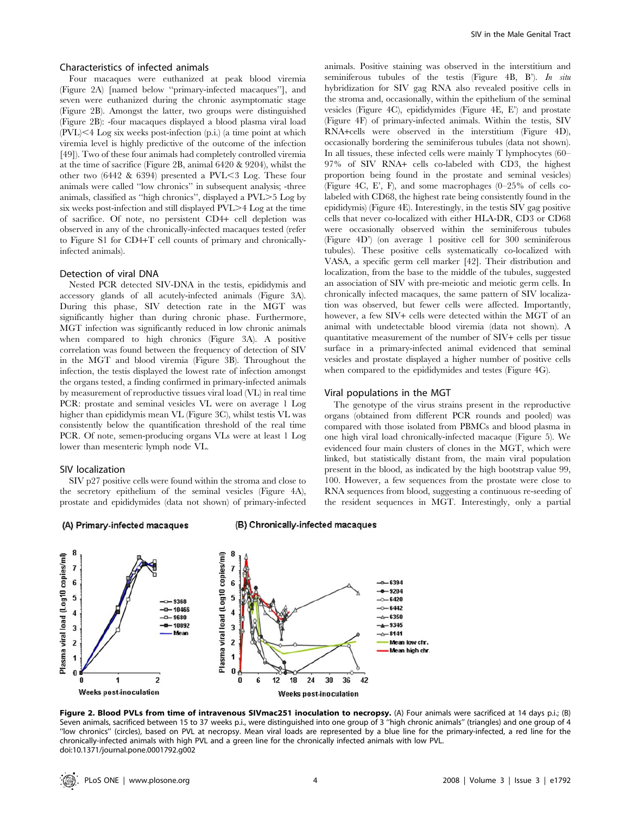# Characteristics of infected animals

Four macaques were euthanized at peak blood viremia (Figure 2A) [named below ''primary-infected macaques''], and seven were euthanized during the chronic asymptomatic stage (Figure 2B). Amongst the latter, two groups were distinguished (Figure 2B): -four macaques displayed a blood plasma viral load  $(PVL)$   $\leq$  4 Log six weeks post-infection (p.i.) (a time point at which viremia level is highly predictive of the outcome of the infection [49]). Two of these four animals had completely controlled viremia at the time of sacrifice (Figure 2B, animal 6420 & 9204), whilst the other two  $(6442 \& 6394)$  presented a PVL $\leq$ 3 Log. These four animals were called ''low chronics'' in subsequent analysis; -three animals, classified as "high chronics", displayed a  $\text{PVL} > 5$  Log by six weeks post-infection and still displayed PVL $>4$  Log at the time of sacrifice. Of note, no persistent CD4+ cell depletion was observed in any of the chronically-infected macaques tested (refer to Figure S1 for CD4+T cell counts of primary and chronicallyinfected animals).

### Detection of viral DNA

Nested PCR detected SIV-DNA in the testis, epididymis and accessory glands of all acutely-infected animals (Figure 3A). During this phase, SIV detection rate in the MGT was significantly higher than during chronic phase. Furthermore, MGT infection was significantly reduced in low chronic animals when compared to high chronics (Figure 3A). A positive correlation was found between the frequency of detection of SIV in the MGT and blood viremia (Figure 3B). Throughout the infection, the testis displayed the lowest rate of infection amongst the organs tested, a finding confirmed in primary-infected animals by measurement of reproductive tissues viral load (VL) in real time PCR: prostate and seminal vesicles VL were on average 1 Log higher than epididymis mean VL (Figure 3C), whilst testis VL was consistently below the quantification threshold of the real time PCR. Of note, semen-producing organs VLs were at least 1 Log lower than mesenteric lymph node VL.

#### SIV localization

SIV p27 positive cells were found within the stroma and close to the secretory epithelium of the seminal vesicles (Figure 4A), prostate and epididymides (data not shown) of primary-infected



#### (B) Chronically-infected macaques



SIV in the Male Genital Tract

animals. Positive staining was observed in the interstitium and seminiferous tubules of the testis (Figure 4B, B). In situ hybridization for SIV gag RNA also revealed positive cells in the stroma and, occasionally, within the epithelium of the seminal vesicles (Figure 4C), epididymides (Figure 4E, E') and prostate (Figure 4F) of primary-infected animals. Within the testis, SIV RNA+cells were observed in the interstitium (Figure 4D), occasionally bordering the seminiferous tubules (data not shown). In all tissues, these infected cells were mainly T lymphocytes (60– 97% of SIV RNA+ cells co-labeled with CD3, the highest proportion being found in the prostate and seminal vesicles) (Figure 4C, E', F), and some macrophages (0–25% of cells colabeled with CD68, the highest rate being consistently found in the epididymis) (Figure 4E). Interestingly, in the testis SIV gag positive cells that never co-localized with either HLA-DR, CD3 or CD68 were occasionally observed within the seminiferous tubules (Figure 4D') (on average 1 positive cell for 300 seminiferous tubules). These positive cells systematically co-localized with VASA, a specific germ cell marker [42]. Their distribution and localization, from the base to the middle of the tubules, suggested an association of SIV with pre-meiotic and meiotic germ cells. In chronically infected macaques, the same pattern of SIV localization was observed, but fewer cells were affected. Importantly, however, a few SIV+ cells were detected within the MGT of an animal with undetectable blood viremia (data not shown). A quantitative measurement of the number of SIV+ cells per tissue surface in a primary-infected animal evidenced that seminal vesicles and prostate displayed a higher number of positive cells when compared to the epididymides and testes (Figure 4G).

#### Viral populations in the MGT

The genotype of the virus strains present in the reproductive organs (obtained from different PCR rounds and pooled) was compared with those isolated from PBMCs and blood plasma in one high viral load chronically-infected macaque (Figure 5). We evidenced four main clusters of clones in the MGT, which were linked, but statistically distant from, the main viral population present in the blood, as indicated by the high bootstrap value 99, 100. However, a few sequences from the prostate were close to RNA sequences from blood, suggesting a continuous re-seeding of the resident sequences in MGT. Interestingly, only a partial

Figure 2. Blood PVLs from time of intravenous SIVmac251 inoculation to necropsy. (A) Four animals were sacrificed at 14 days p.i.; (B) Seven animals, sacrificed between 15 to 37 weeks p.i., were distinguished into one group of 3 ''high chronic animals'' (triangles) and one group of 4 ''low chronics'' (circles), based on PVL at necropsy. Mean viral loads are represented by a blue line for the primary-infected, a red line for the chronically-infected animals with high PVL and a green line for the chronically infected animals with low PVL. doi:10.1371/journal.pone.0001792.g002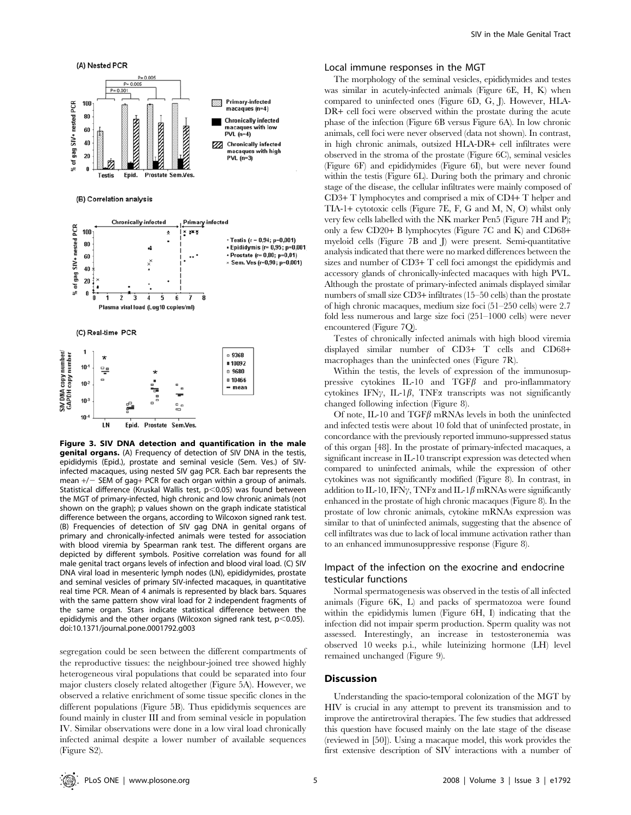

Figure 3. SIV DNA detection and quantification in the male genital organs. (A) Frequency of detection of SIV DNA in the testis, epididymis (Epid.), prostate and seminal vesicle (Sem. Ves.) of SIVinfected macaques, using nested SIV gag PCR. Each bar represents the mean  $+/-$  SEM of gag+ PCR for each organ within a group of animals. Statistical difference (Kruskal Wallis test,  $p$ <0.05) was found between the MGT of primary-infected, high chronic and low chronic animals (not shown on the graph); p values shown on the graph indicate statistical difference between the organs, according to Wilcoxon signed rank test. (B) Frequencies of detection of SIV gag DNA in genital organs of primary and chronically-infected animals were tested for association with blood viremia by Spearman rank test. The different organs are depicted by different symbols. Positive correlation was found for all male genital tract organs levels of infection and blood viral load. (C) SIV DNA viral load in mesenteric lymph nodes (LN), epididymides, prostate and seminal vesicles of primary SIV-infected macaques, in quantitative real time PCR. Mean of 4 animals is represented by black bars. Squares with the same pattern show viral load for 2 independent fragments of the same organ. Stars indicate statistical difference between the epididymis and the other organs (Wilcoxon signed rank test,  $p<0.05$ ). doi:10.1371/journal.pone.0001792.g003

segregation could be seen between the different compartments of the reproductive tissues: the neighbour-joined tree showed highly heterogeneous viral populations that could be separated into four major clusters closely related altogether (Figure 5A). However, we observed a relative enrichment of some tissue specific clones in the different populations (Figure 5B). Thus epididymis sequences are found mainly in cluster III and from seminal vesicle in population IV. Similar observations were done in a low viral load chronically infected animal despite a lower number of available sequences (Figure S2).

## Local immune responses in the MGT

The morphology of the seminal vesicles, epididymides and testes was similar in acutely-infected animals (Figure 6E, H, K) when compared to uninfected ones (Figure 6D, G, J). However, HLA-DR+ cell foci were observed within the prostate during the acute phase of the infection (Figure 6B versus Figure 6A). In low chronic animals, cell foci were never observed (data not shown). In contrast, in high chronic animals, outsized HLA-DR+ cell infiltrates were observed in the stroma of the prostate (Figure 6C), seminal vesicles (Figure 6F) and epididymides (Figure 6I), but were never found within the testis (Figure 6L). During both the primary and chronic stage of the disease, the cellular infiltrates were mainly composed of CD3+ T lymphocytes and comprised a mix of CD4+ T helper and TIA-1+ cytotoxic cells (Figure 7E, F, G and M, N, O) whilst only very few cells labelled with the NK marker Pen5 (Figure 7H and P); only a few CD20+ B lymphocytes (Figure 7C and K) and CD68+ myeloid cells (Figure 7B and J) were present. Semi-quantitative analysis indicated that there were no marked differences between the sizes and number of CD3+ T cell foci amongst the epididymis and accessory glands of chronically-infected macaques with high PVL. Although the prostate of primary-infected animals displayed similar numbers of small size CD3+ infiltrates (15–50 cells) than the prostate of high chronic macaques, medium size foci (51–250 cells) were 2.7 fold less numerous and large size foci (251–1000 cells) were never encountered (Figure 7Q).

Testes of chronically infected animals with high blood viremia displayed similar number of CD3+ T cells and CD68+ macrophages than the uninfected ones (Figure 7R).

Within the testis, the levels of expression of the immunosuppressive cytokines IL-10 and  $TGF\beta$  and pro-inflammatory cytokines IFN $\gamma$ , IL-1 $\beta$ , TNF $\alpha$  transcripts was not significantly changed following infection (Figure 8).

Of note, IL-10 and TGF $\beta$  mRNAs levels in both the uninfected and infected testis were about 10 fold that of uninfected prostate, in concordance with the previously reported immuno-suppressed status of this organ [48]. In the prostate of primary-infected macaques, a significant increase in IL-10 transcript expression was detected when compared to uninfected animals, while the expression of other cytokines was not significantly modified (Figure 8). In contrast, in addition to IL-10, IFN $\gamma$ , TNF $\alpha$  and IL-1 $\beta$  mRNAs were significantly enhanced in the prostate of high chronic macaques (Figure 8). In the prostate of low chronic animals, cytokine mRNAs expression was similar to that of uninfected animals, suggesting that the absence of cell infiltrates was due to lack of local immune activation rather than to an enhanced immunosuppressive response (Figure 8).

# Impact of the infection on the exocrine and endocrine testicular functions

Normal spermatogenesis was observed in the testis of all infected animals (Figure 6K, L) and packs of spermatozoa were found within the epididymis lumen (Figure 6H, I) indicating that the infection did not impair sperm production. Sperm quality was not assessed. Interestingly, an increase in testosteronemia was observed 10 weeks p.i., while luteinizing hormone (LH) level remained unchanged (Figure 9).

# **Discussion**

Understanding the spacio-temporal colonization of the MGT by HIV is crucial in any attempt to prevent its transmission and to improve the antiretroviral therapies. The few studies that addressed this question have focused mainly on the late stage of the disease (reviewed in [50]). Using a macaque model, this work provides the first extensive description of SIV interactions with a number of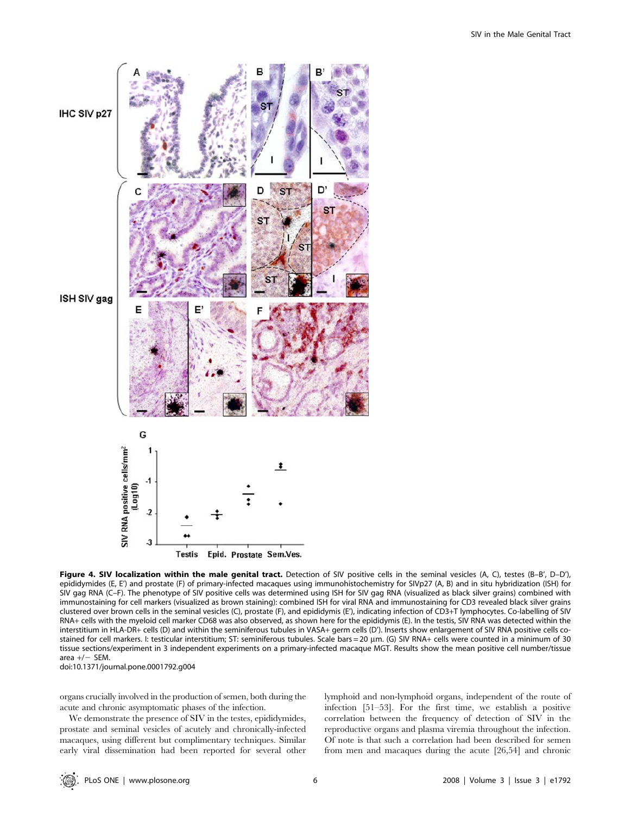

Figure 4. SIV localization within the male genital tract. Detection of SIV positive cells in the seminal vesicles (A, C), testes (B-B', D-D'), epididymides (E, E') and prostate (F) of primary-infected macaques using immunohistochemistry for SIVp27 (A, B) and in situ hybridization (ISH) for SIV gag RNA (C–F). The phenotype of SIV positive cells was determined using ISH for SIV gag RNA (visualized as black silver grains) combined with immunostaining for cell markers (visualized as brown staining): combined ISH for viral RNA and immunostaining for CD3 revealed black silver grains clustered over brown cells in the seminal vesicles (C), prostate (F), and epididymis (E'), indicating infection of CD3+T lymphocytes. Co-labelling of SIV RNA+ cells with the myeloid cell marker CD68 was also observed, as shown here for the epididymis (E). In the testis, SIV RNA was detected within the interstitium in HLA-DR+ cells (D) and within the seminiferous tubules in VASA+ germ cells (D'). Inserts show enlargement of SIV RNA positive cells costained for cell markers. I: testicular interstitium; ST: seminiferous tubules. Scale bars = 20 mm. (G) SIV RNA+ cells were counted in a minimum of 30 tissue sections/experiment in 3 independent experiments on a primary-infected macaque MGT. Results show the mean positive cell number/tissue area  $+/-$  SEM. doi:10.1371/journal.pone.0001792.g004

organs crucially involved in the production of semen, both during the

acute and chronic asymptomatic phases of the infection. We demonstrate the presence of SIV in the testes, epididymides,

prostate and seminal vesicles of acutely and chronically-infected macaques, using different but complimentary techniques. Similar early viral dissemination had been reported for several other lymphoid and non-lymphoid organs, independent of the route of infection [51–53]. For the first time, we establish a positive correlation between the frequency of detection of SIV in the reproductive organs and plasma viremia throughout the infection. Of note is that such a correlation had been described for semen from men and macaques during the acute [26,54] and chronic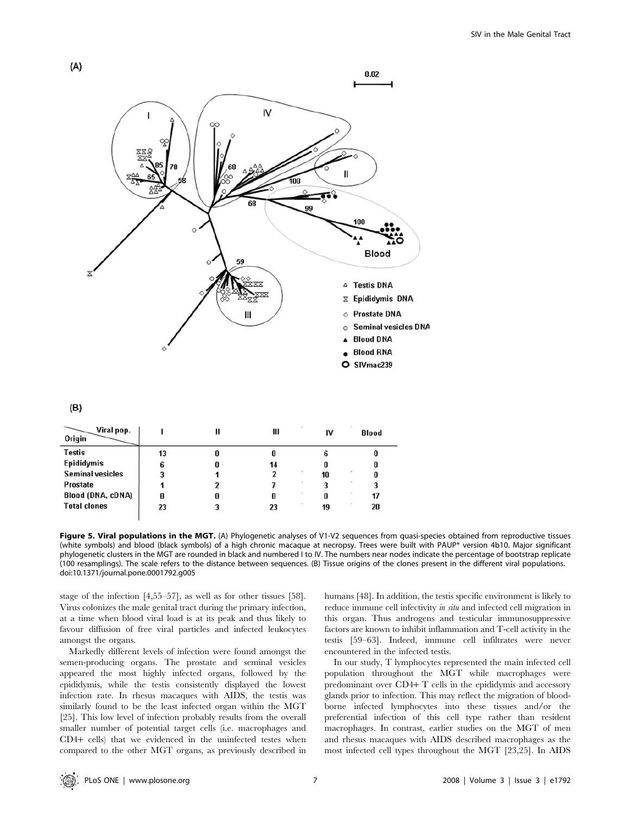

| Blood |
|-------|
|       |
|       |
|       |
|       |
| 17    |
| 20    |
|       |

Figure 5. Viral populations in the MGT. (A) Phylogenetic analyses of V1-V2 sequences from quasi-species obtained from reproductive tissues (white symbols) and blood (black symbols) of a high chronic macaque at necropsy. Trees were built with PAUP\* version 4b10. Major significant phylogenetic clusters in the MGT are rounded in black and numbered I to IV. The numbers near nodes indicate the percentage of bootstrap replicate (100 resamplings). The scale refers to the distance between sequences. (B) Tissue origins of the clones present in the different viral populations. doi:10.1371/journal.pone.0001792.g005

stage of the infection [4,55–57], as well as for other tissues [58]. Virus colonizes the male genital tract during the primary infection, at a time when blood viral load is at its peak and thus likely to favour diffusion of free viral particles and infected leukocytes amongst the organs.

Markedly different levels of infection were found amongst the semen-producing organs. The prostate and seminal vesicles appeared the most highly infected organs, followed by the epididymis, while the testis consistently displayed the lowest infection rate. In rhesus macaques with AIDS, the testis was similarly found to be the least infected organ within the MGT [25]. This low level of infection probably results from the overall smaller number of potential target cells (i.e. macrophages and CD4+ cells) that we evidenced in the uninfected testes when compared to the other MGT organs, as previously described in humans [48]. In addition, the testis specific environment is likely to reduce immune cell infectivity *in situ* and infected cell migration in this organ. Thus androgens and testicular immunosuppressive factors are known to inhibit inflammation and T-cell activity in the testis [59–63]. Indeed, immune cell infiltrates were never encountered in the infected testis.

In our study, T lymphocytes represented the main infected cell population throughout the MGT while macrophages were predominant over CD4+ T cells in the epididymis and accessory glands prior to infection. This may reflect the migration of bloodborne infected lymphocytes into these tissues and/or the preferential infection of this cell type rather than resident macrophages. In contrast, earlier studies on the MGT of men and rhesus macaques with AIDS described macrophages as the most infected cell types throughout the MGT [23,25]. In AIDS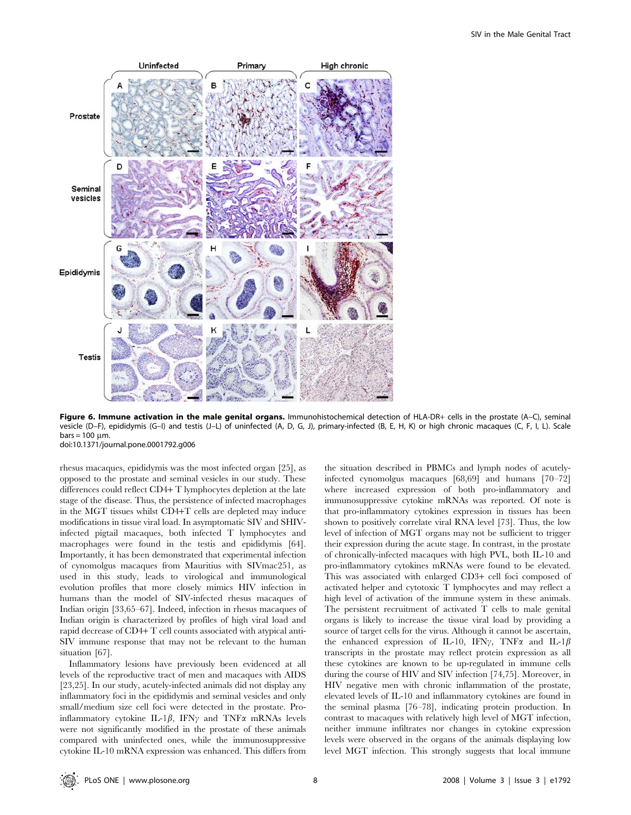

Figure 6. Immune activation in the male genital organs. Immunohistochemical detection of HLA-DR+ cells in the prostate (A–C), seminal vesicle (D–F), epididymis (G–I) and testis (J–L) of uninfected (A, D, G, J), primary-infected (B, E, H, K) or high chronic macaques (C, F, I, L). Scale  $bars = 100$  um. doi:10.1371/journal.pone.0001792.g006

rhesus macaques, epididymis was the most infected organ [25], as opposed to the prostate and seminal vesicles in our study. These differences could reflect CD4+ T lymphocytes depletion at the late stage of the disease. Thus, the persistence of infected macrophages in the MGT tissues whilst CD4+T cells are depleted may induce modifications in tissue viral load. In asymptomatic SIV and SHIVinfected pigtail macaques, both infected T lymphocytes and macrophages were found in the testis and epididymis [64]. Importantly, it has been demonstrated that experimental infection of cynomolgus macaques from Mauritius with SIVmac251, as used in this study, leads to virological and immunological evolution profiles that more closely mimics HIV infection in humans than the model of SIV-infected rhesus macaques of Indian origin [33,65–67]. Indeed, infection in rhesus macaques of Indian origin is characterized by profiles of high viral load and rapid decrease of CD4+ T cell counts associated with atypical anti-SIV immune response that may not be relevant to the human situation [67].

Inflammatory lesions have previously been evidenced at all levels of the reproductive tract of men and macaques with AIDS [23,25]. In our study, acutely-infected animals did not display any inflammatory foci in the epididymis and seminal vesicles and only small/medium size cell foci were detected in the prostate. Proinflammatory cytokine IL-1 $\beta$ , IFN $\gamma$  and TNF $\alpha$  mRNAs levels were not significantly modified in the prostate of these animals compared with uninfected ones, while the immunosuppressive cytokine IL-10 mRNA expression was enhanced. This differs from the situation described in PBMCs and lymph nodes of acutelyinfected cynomolgus macaques [68,69] and humans [70–72] where increased expression of both pro-inflammatory and immunosuppressive cytokine mRNAs was reported. Of note is that pro-inflammatory cytokines expression in tissues has been shown to positively correlate viral RNA level [73]. Thus, the low level of infection of MGT organs may not be sufficient to trigger their expression during the acute stage. In contrast, in the prostate of chronically-infected macaques with high PVL, both IL-10 and pro-inflammatory cytokines mRNAs were found to be elevated. This was associated with enlarged CD3+ cell foci composed of activated helper and cytotoxic T lymphocytes and may reflect a high level of activation of the immune system in these animals. The persistent recruitment of activated T cells to male genital organs is likely to increase the tissue viral load by providing a source of target cells for the virus. Although it cannot be ascertain, the enhanced expression of IL-10, IFN $\gamma$ , TNF $\alpha$  and IL-1 $\beta$ transcripts in the prostate may reflect protein expression as all these cytokines are known to be up-regulated in immune cells during the course of HIV and SIV infection [74,75]. Moreover, in HIV negative men with chronic inflammation of the prostate, elevated levels of IL-10 and inflammatory cytokines are found in the seminal plasma [76–78], indicating protein production. In contrast to macaques with relatively high level of MGT infection, neither immune infiltrates nor changes in cytokine expression levels were observed in the organs of the animals displaying low level MGT infection. This strongly suggests that local immune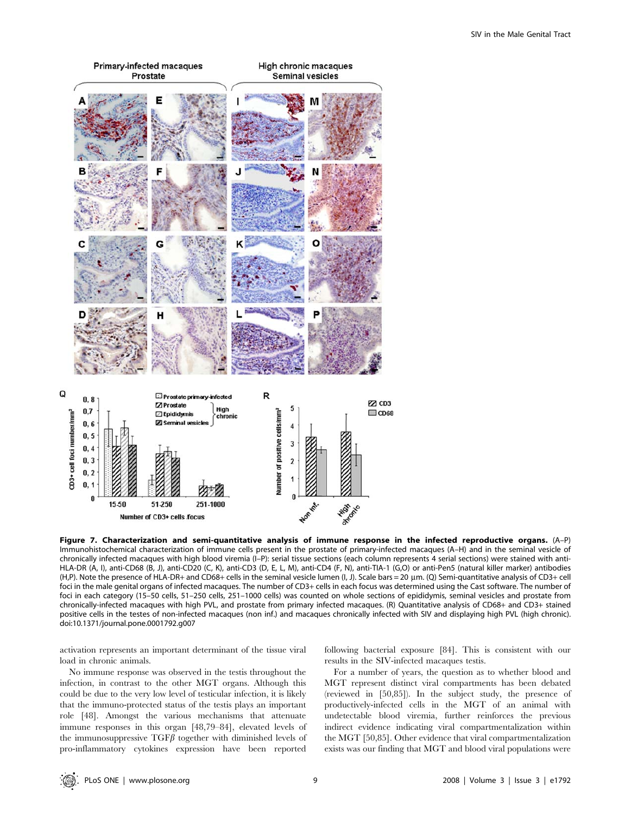

Figure 7. Characterization and semi-quantitative analysis of immune response in the infected reproductive organs. (A–P) Immunohistochemical characterization of immune cells present in the prostate of primary-infected macaques (A–H) and in the seminal vesicle of chronically infected macaques with high blood viremia (I–P): serial tissue sections (each column represents 4 serial sections) were stained with anti-HLA-DR (A, I), anti-CD68 (B, J), anti-CD20 (C, K), anti-CD3 (D, E, L, M), anti-CD4 (F, N), anti-TIA-1 (G,O) or anti-Pen5 (natural killer marker) antibodies (H,P). Note the presence of HLA-DR+ and CD68+ cells in the seminal vesicle lumen (I, J). Scale bars = 20 mm. (Q) Semi-quantitative analysis of CD3+ cell foci in the male genital organs of infected macaques. The number of CD3+ cells in each focus was determined using the Cast software. The number of foci in each category (15–50 cells, 51–250 cells, 251–1000 cells) was counted on whole sections of epididymis, seminal vesicles and prostate from chronically-infected macaques with high PVL, and prostate from primary infected macaques. (R) Quantitative analysis of CD68+ and CD3+ stained positive cells in the testes of non-infected macaques (non inf.) and macaques chronically infected with SIV and displaying high PVL (high chronic). doi:10.1371/journal.pone.0001792.g007

activation represents an important determinant of the tissue viral load in chronic animals.

No immune response was observed in the testis throughout the infection, in contrast to the other MGT organs. Although this could be due to the very low level of testicular infection, it is likely that the immuno-protected status of the testis plays an important role [48]. Amongst the various mechanisms that attenuate immune responses in this organ [48,79–84], elevated levels of the immunosuppressive  $TGF\beta$  together with diminished levels of pro-inflammatory cytokines expression have been reported following bacterial exposure [84]. This is consistent with our results in the SIV-infected macaques testis.

For a number of years, the question as to whether blood and MGT represent distinct viral compartments has been debated (reviewed in [50,85]). In the subject study, the presence of productively-infected cells in the MGT of an animal with undetectable blood viremia, further reinforces the previous indirect evidence indicating viral compartmentalization within the MGT [50,85]. Other evidence that viral compartmentalization exists was our finding that MGT and blood viral populations were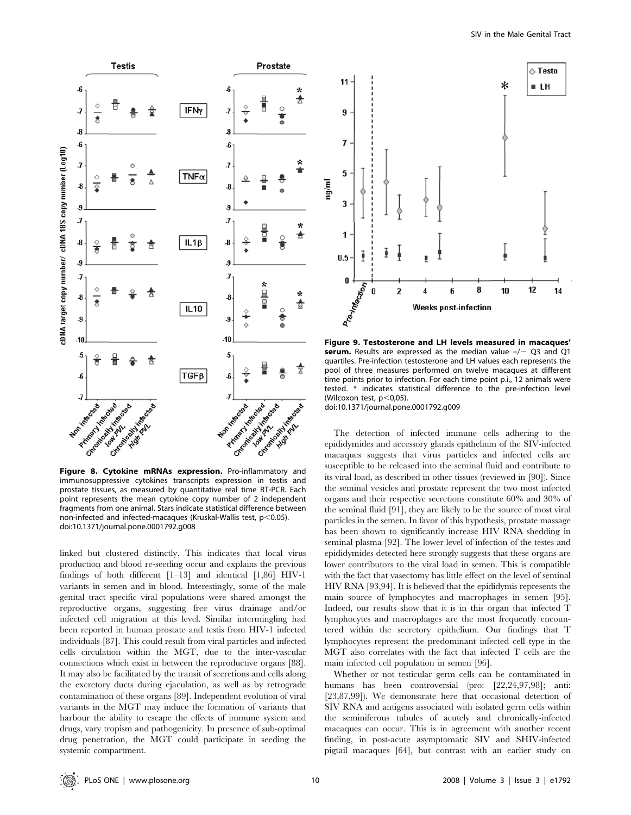

Figure 8. Cytokine mRNAs expression. Pro-inflammatory and immunosuppressive cytokines transcripts expression in testis and prostate tissues, as measured by quantitative real time RT-PCR. Each point represents the mean cytokine copy number of 2 independent fragments from one animal. Stars indicate statistical difference between non-infected and infected-macaques (Kruskal-Wallis test,  $p$ <0.05). doi:10.1371/journal.pone.0001792.g008

linked but clustered distinctly. This indicates that local virus production and blood re-seeding occur and explains the previous findings of both different [1–13] and identical [1,86] HIV-1 variants in semen and in blood. Interestingly, some of the male genital tract specific viral populations were shared amongst the reproductive organs, suggesting free virus drainage and/or infected cell migration at this level. Similar intermingling had been reported in human prostate and testis from HIV-1 infected individuals [87]. This could result from viral particles and infected cells circulation within the MGT, due to the inter-vascular connections which exist in between the reproductive organs [88]. It may also be facilitated by the transit of secretions and cells along the excretory ducts during ejaculation, as well as by retrograde contamination of these organs [89]. Independent evolution of viral variants in the MGT may induce the formation of variants that harbour the ability to escape the effects of immune system and drugs, vary tropism and pathogenicity. In presence of sub-optimal drug penetration, the MGT could participate in seeding the systemic compartment.



Figure 9. Testosterone and LH levels measured in macaques' serum. Results are expressed as the median value  $+/-$  Q3 and Q1 quartiles. Pre-infection testosterone and LH values each represents the pool of three measures performed on twelve macaques at different time points prior to infection. For each time point p.i., 12 animals were tested. \* indicates statistical difference to the pre-infection level (Wilcoxon test,  $p<0,05$ ).

doi:10.1371/journal.pone.0001792.g009

The detection of infected immune cells adhering to the epididymides and accessory glands epithelium of the SIV-infected macaques suggests that virus particles and infected cells are susceptible to be released into the seminal fluid and contribute to its viral load, as described in other tissues (reviewed in [90]). Since the seminal vesicles and prostate represent the two most infected organs and their respective secretions constitute 60% and 30% of the seminal fluid [91], they are likely to be the source of most viral particles in the semen. In favor of this hypothesis, prostate massage has been shown to significantly increase HIV RNA shedding in seminal plasma [92]. The lower level of infection of the testes and epididymides detected here strongly suggests that these organs are lower contributors to the viral load in semen. This is compatible with the fact that vasectomy has little effect on the level of seminal HIV RNA [93,94]. It is believed that the epididymis represents the main source of lymphocytes and macrophages in semen [95]. Indeed, our results show that it is in this organ that infected T lymphocytes and macrophages are the most frequently encountered within the secretory epithelium. Our findings that T lymphocytes represent the predominant infected cell type in the MGT also correlates with the fact that infected T cells are the main infected cell population in semen [96].

Whether or not testicular germ cells can be contaminated in humans has been controversial (pro: [22,24,97,98]; anti: [23,87,99]). We demonstrate here that occasional detection of SIV RNA and antigens associated with isolated germ cells within the seminiferous tubules of acutely and chronically-infected macaques can occur. This is in agreement with another recent finding, in post-acute asymptomatic SIV and SHIV-infected pigtail macaques [64], but contrast with an earlier study on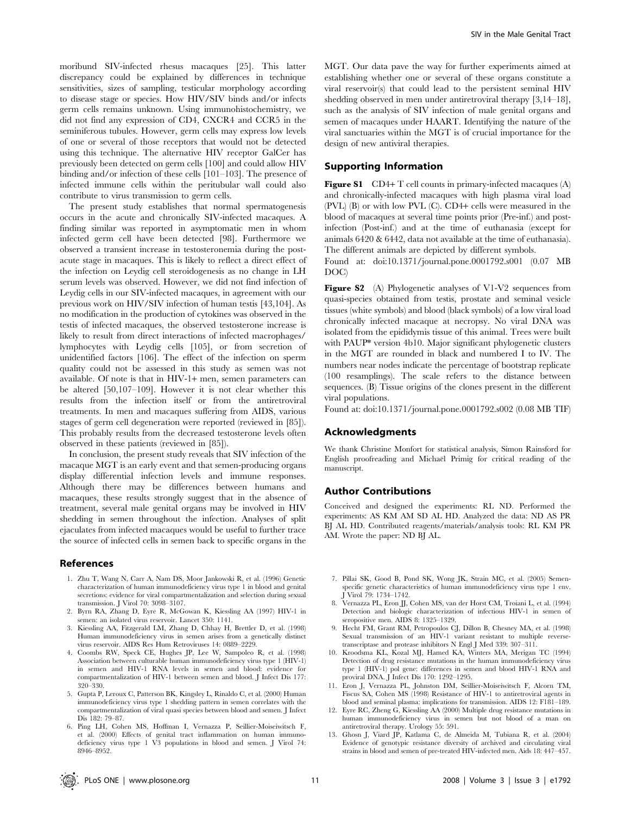moribund SIV-infected rhesus macaques [25]. This latter discrepancy could be explained by differences in technique sensitivities, sizes of sampling, testicular morphology according to disease stage or species. How HIV/SIV binds and/or infects germ cells remains unknown. Using immunohistochemistry, we did not find any expression of CD4, CXCR4 and CCR5 in the seminiferous tubules. However, germ cells may express low levels of one or several of those receptors that would not be detected using this technique. The alternative HIV receptor GalCer has previously been detected on germ cells [100] and could allow HIV binding and/or infection of these cells [101–103]. The presence of infected immune cells within the peritubular wall could also contribute to virus transmission to germ cells.

The present study establishes that normal spermatogenesis occurs in the acute and chronically SIV-infected macaques. A finding similar was reported in asymptomatic men in whom infected germ cell have been detected [98]. Furthermore we observed a transient increase in testosteronemia during the postacute stage in macaques. This is likely to reflect a direct effect of the infection on Leydig cell steroidogenesis as no change in LH serum levels was observed. However, we did not find infection of Leydig cells in our SIV-infected macaques, in agreement with our previous work on HIV/SIV infection of human testis [43,104]. As no modification in the production of cytokines was observed in the testis of infected macaques, the observed testosterone increase is likely to result from direct interactions of infected macrophages/ lymphocytes with Leydig cells [105], or from secretion of unidentified factors [106]. The effect of the infection on sperm quality could not be assessed in this study as semen was not available. Of note is that in HIV-1+ men, semen parameters can be altered [50,107–109]. However it is not clear whether this results from the infection itself or from the antiretroviral treatments. In men and macaques suffering from AIDS, various stages of germ cell degeneration were reported (reviewed in [85]). This probably results from the decreased testosterone levels often observed in these patients (reviewed in [85]).

In conclusion, the present study reveals that SIV infection of the macaque MGT is an early event and that semen-producing organs display differential infection levels and immune responses. Although there may be differences between humans and macaques, these results strongly suggest that in the absence of treatment, several male genital organs may be involved in HIV shedding in semen throughout the infection. Analyses of split ejaculates from infected macaques would be useful to further trace the source of infected cells in semen back to specific organs in the

#### References

- 1. Zhu T, Wang N, Carr A, Nam DS, Moor Jankowski R, et al. (1996) Genetic characterization of human immunodeficiency virus type 1 in blood and genital secretions: evidence for viral compartmentalization and selection during sexual transmission. J Virol 70: 3098–3107.
- 2. Byrn RA, Zhang D, Eyre R, McGowan K, Kiessling AA (1997) HIV-1 in semen: an isolated virus reservoir. Lancet 350: 1141.
- 3. Kiessling AA, Fitzgerald LM, Zhang D, Chhay H, Brettler D, et al. (1998) Human immunodeficiency virus in semen arises from a genetically distinct virus reservoir. AIDS Res Hum Retroviruses 14: 0889–2229.
- 4. Coombs RW, Speck CE, Hughes JP, Lee W, Sampoleo R, et al. (1998) Association between culturable human immunodeficiency virus type 1 (HIV-1) in semen and HIV-1 RNA levels in semen and blood: evidence for compartmentalization of HIV-1 between semen and blood. J Infect Dis 177: 320–330.
- 5. Gupta P, Leroux C, Patterson BK, Kingsley L, Rinaldo C, et al. (2000) Human immunodeficiency virus type 1 shedding pattern in semen correlates with the compartmentalization of viral quasi species between blood and semen. J Infect Dis 182: 79–87.
- 6. Ping LH, Cohen MS, Hoffman I, Vernazza P, Seillier-Moiseiwitsch F, et al. (2000) Effects of genital tract inflammation on human immunodeficiency virus type 1 V3 populations in blood and semen. J Virol 74: 8946–8952.

MGT. Our data pave the way for further experiments aimed at establishing whether one or several of these organs constitute a viral reservoir(s) that could lead to the persistent seminal HIV shedding observed in men under antiretroviral therapy [3,14–18], such as the analysis of SIV infection of male genital organs and semen of macaques under HAART. Identifying the nature of the viral sanctuaries within the MGT is of crucial importance for the design of new antiviral therapies.

#### Supporting Information

**Figure S1** CD4+ T cell counts in primary-infected macaques  $(A)$ and chronically-infected macaques with high plasma viral load (PVL) (B) or with low PVL (C). CD4+ cells were measured in the blood of macaques at several time points prior (Pre-inf.) and postinfection (Post-inf.) and at the time of euthanasia (except for animals 6420 & 6442, data not available at the time of euthanasia). The different animals are depicted by different symbols.

Found at: doi:10.1371/journal.pone.0001792.s001 (0.07 MB DOC)

Figure S2 (A) Phylogenetic analyses of V1-V2 sequences from quasi-species obtained from testis, prostate and seminal vesicle tissues (white symbols) and blood (black symbols) of a low viral load chronically infected macaque at necropsy. No viral DNA was isolated from the epididymis tissue of this animal. Trees were built with PAUP\* version 4b10. Major significant phylogenetic clusters in the MGT are rounded in black and numbered I to IV. The numbers near nodes indicate the percentage of bootstrap replicate (100 resamplings). The scale refers to the distance between sequences. (B) Tissue origins of the clones present in the different viral populations.

Found at: doi:10.1371/journal.pone.0001792.s002 (0.08 MB TIF)

# Acknowledgments

We thank Christine Monfort for statistical analysis, Simon Rainsford for English proofreading and Michaël Primig for critical reading of the manuscript.

#### Author Contributions

Conceived and designed the experiments: RL ND. Performed the experiments: AS KM AM SD AL HD. Analyzed the data: ND AS PR BJ AL HD. Contributed reagents/materials/analysis tools: RL KM PR AM. Wrote the paper: ND BJ AL.

- 7. Pillai SK, Good B, Pond SK, Wong JK, Strain MC, et al. (2005) Semenspecific genetic characteristics of human immunodeficiency virus type 1 env. J Virol 79: 1734–1742.
- 8. Vernazza PL, Eron JJ, Cohen MS, van der Horst CM, Troiani L, et al. (1994) Detection and biologic characterization of infectious HIV-1 in semen of seropositive men. AIDS 8: 1325–1329.
- 9. Hecht FM, Grant RM, Petropoulos CJ, Dillon B, Chesney MA, et al. (1998) Sexual transmission of an HIV-1 variant resistant to multiple reversetranscriptase and protease inhibitors N Engl J Med 339: 307–311.
- 10. Kroodsma KL, Kozal MJ, Hamed KA, Winters MA, Merigan TC (1994) Detection of drug resistance mutations in the human immunodeficiency virus type 1 (HIV-1) pol gene: differences in semen and blood HIV-1 RNA and proviral DNA. J Infect Dis 170: 1292–1295.
- 11. Eron J, Vernazza PL, Johnston DM, Seillier-Moiseiwitsch F, Alcorn TM, Fiscus SA, Cohen MS (1998) Resistance of HIV-1 to antiretroviral agents in blood and seminal plasma: implications for transmission. AIDS 12: F181–189.
- 12. Eyre RC, Zheng G, Kiessling AA (2000) Multiple drug resistance mutations in human immunodeficiency virus in semen but not blood of a man on antiretroviral therapy. Urology 55: 591.
- 13. Ghosn J, Viard JP, Katlama C, de Almeida M, Tubiana R, et al. (2004) Evidence of genotypic resistance diversity of archived and circulating viral strains in blood and semen of pre-treated HIV-infected men. Aids 18: 447–457.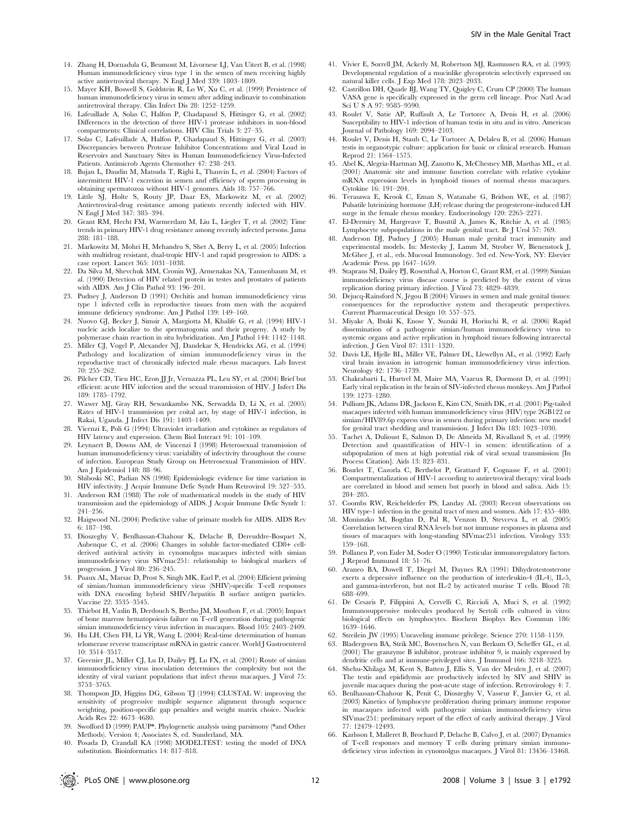- 15. Mayer KH, Boswell S, Goldstein R, Lo W, Xu C, et al. (1999) Persistence of human immunodeficiency virus in semen after adding indinavir to combination antiretroviral therapy. Clin Infect Dis 28: 1252–1259.
- 16. Lafeuillade A, Solas C, Halfon P, Chadapaud S, Hittinger G, et al. (2002) Differences in the detection of three HIV-1 protease inhibitors in non-blood compartments: Clinical correlations. HIV Clin Trials 3: 27–35.
- 17. Solas C, Lafeuillade A, Halfon P, Chadapaud S, Hittinger G, et al. (2003) Discrepancies between Protease Inhibitor Concentrations and Viral Load in Reservoirs and Sanctuary Sites in Human Immunodeficiency Virus-Infected Patients. Antimicrob Agents Chemother 47: 238–243.
- 18. Bujan L, Daudin M, Matsuda T, Righi L, Thauvin L, et al. (2004) Factors of intermittent HIV-1 excretion in semen and efficiency of sperm processing in obtaining spermatozoa without HIV-1 genomes. Aids 18: 757–766.
- 19. Little SJ, Holte S, Routy JP, Daar ES, Markowitz M, et al. (2002) Antiretroviral-drug resistance among patients recently infected with HIV. N Engl J Med 347: 385–394.
- 20. Grant RM, Hecht FM, Warmerdam M, Liu L, Liegler T, et al. (2002) Time trends in primary HIV-1 drug resistance among recently infected persons. Jama 288: 181–188.
- 21. Markowitz M, Mohri H, Mehandru S, Shet A, Berry L, et al. (2005) Infection with multidrug resistant, dual-tropic HIV-1 and rapid progression to AIDS: a case report. Lancet 365: 1031–1038.
- 22. Da Silva M, Shevchuk MM, Cronin WJ, Armenakas NA, Tannenbaum M, et al. (1990) Detection of HIV related protein in testes and prostates of patients with AIDS. Am J Clin Pathol 93: 196–201.
- 23. Pudney J, Anderson D (1991) Orchitis and human immunodeficiency virus type 1 infected cells in reproductive tissues from men with the acquired immune deficiency syndrome. Am J Pathol 139: 149–160.
- 24. Nuovo GJ, Becker J, Simsir A, Margiotta M, Khalife G, et al. (1994) HIV-1 nucleic acids localize to the spermatogonia and their progeny. A study by polymerase chain reaction in situ hybridization. Am J Pathol 144: 1142–1148.
- 25. Miller CJ, Vogel P, Alexander NJ, Dandekar S, Hendrickx AG, et al. (1994) Pathology and localization of simian immunodeficiency virus in the reproductive tract of chronically infected male rhesus macaques. Lab Invest 70: 255–262.
- 26. Pilcher CD, Tien HC, Eron JJ Jr, Vernazza PL, Leu SY, et al. (2004) Brief but efficient: acute HIV infection and the sexual transmission of HIV. J Infect Dis 189: 1785–1792.
- 27. Wawer MJ, Gray RH, Sewankambo NK, Serwadda D, Li X, et al. (2005) Rates of HIV-1 transmission per coital act, by stage of HIV-1 infection, in Rakai, Uganda. J Infect Dis 191: 1403–1409.
- Vicenzi E, Poli G (1994) Ultraviolet irradiation and cytokines as regulators of HIV latency and expression. Chem Biol Interact 91: 101–109.
- 29. Leynaert B, Downs AM, de Vincenzi I (1998) Heterosexual transmission of human immunodeficiency virus: variability of infectivity throughout the course of infection. European Study Group on Heterosexual Transmission of HIV. Am J Epidemiol 148: 88–96.
- 30. Shiboski SC, Padian NS (1998) Epidemiologic evidence for time variation in HIV infectivity. J Acquir Immune Defic Syndr Hum Retrovirol 19: 527–535.
- 31. Anderson RM (1988) The role of mathematical models in the study of HIV transmission and the epidemiology of AIDS. J Acquir Immune Defic Syndr 1: 241–256.
- 32. Haigwood NL (2004) Predictive value of primate models for AIDS. AIDS Rev 6: 187–198.
- 33. Dioszeghy V, Benlhassan-Chahour K, Delache B, Dereuddre-Bosquet N, Aubenque C, et al. (2006) Changes in soluble factor-mediated CD8+ cellderived antiviral activity in cynomolgus macaques infected with simian immunodeficiency virus SIVmac251: relationship to biological markers of progression. J Virol 80: 236–245.
- 34. Puaux AL, Marsac D, Prost S, Singh MK, Earl P, et al. (2004) Efficient priming of simian/human immunodeficiency virus (SHIV)-specific T-cell respons with DNA encoding hybrid SHIV/hepatitis B surface antigen particles. Vaccine 22: 3535–3545.
- 35. Thiebot H, Vaslin B, Derdouch S, Bertho JM, Mouthon F, et al. (2005) Impact of bone marrow hematopoiesis failure on T-cell generation during pathogenic simian immunodeficiency virus infection in macaques. Blood 105: 2403–2409.
- 36. Hu LH, Chen FH, Li YR, Wang L (2004) Real-time determination of human telomerase reverse transcriptase mRNA in gastric cancer. World J Gastroenterol 10: 3514–3517.
- 37. Greenier JL, Miller CJ, Lu D, Dailey PJ, Lu FX, et al. (2001) Route of simian immunodeficiency virus inoculation determines the complexity but not the identity of viral variant populations that infect rhesus macaques. J Virol 75: 3753–3765.
- 38. Thompson JD, Higgins DG, Gibson TJ (1994) CLUSTAL W: improving the sensitivity of progressive multiple sequence alignment through sequence weighting, position-specific gap penalties and weight matrix choice. Nucleic Acids Res 22: 4673–4680.
- 39. Swofford D (1999) PAUP\*. Phylogenetic analysis using parsimony (\*and Other Methods). Version 4; Associates S, ed. Sunderland, MA.
- 40. Posada D, Crandall KA (1998) MODELTEST: testing the model of DNA substitution. Bioinformatics 14: 817–818.
- 41. Vivier E, Sorrell JM, Ackerly M, Robertson MJ, Rasmussen RA, et al. (1993) Developmental regulation of a mucinlike glycoprotein selectively expressed on natural killer cells. J Exp Med 178: 2023–2033.
- 42. Castrillon DH, Quade BJ, Wang TY, Quigley C, Crum CP (2000) The human VASA gene is specifically expressed in the germ cell lineage. Proc Natl Acad Sci U S A 97: 9585–9590.
- 43. Roulet V, Satie AP, Ruffault A, Le Tortorec A, Denis H, et al. (2006) Susceptibility to HIV-1 infection of human testis in situ and in vitro. American Journal of Pathology 169: 2094–2103.
- 44. Roulet V, Denis H, Staub C, Le Tortorec A, Delaleu B, et al. (2006) Human testis in organotypic culture: application for basic or clinical research. Human Reprod 21: 1564–1575.
- 45. Abel K, Alegria-Hartman MJ, Zanotto K, McChesney MB, Marthas ML, et al. (2001) Anatomic site and immune function correlate with relative cytokine mRNA expression levels in lymphoid tissues of normal rhesus macaques. Cytokine 16: 191–204.
- 46. Terasawa E, Krook C, Eman S, Watanabe G, Bridson WE, et al. (1987) Pulsatile luteinizing hormone (LH) release during the progesterone-induced LH surge in the female rhesus monkey. Endocrinology 120: 2265–2271.
- 47. El-Dermiry M, Hargreave T, Busuttil A, James K, Ritchie A, et al. (1985) Lymphocyte subpopulations in the male genital tract. Br J Urol 57: 769.
- Anderson DJ, Pudney J (2005) Human male genital tract immunity and experimental models. In: Mestecky J, Lamm M, Strober W, Bienenstock J, McGhee J, et al., eds. Mucosal Immunology. 3rd ed. New-York, NY: Elsevier Academic Press. pp 1647–1659.
- 49. Staprans SI, Dailey PJ, Rosenthal A, Horton C, Grant RM, et al. (1999) Simian immunodeficiency virus disease course is predicted by the extent of virus replication during primary infection. J Virol 73: 4829–4839.
- 50. Dejucq-Rainsford N, Jégou B (2004) Viruses in semen and male genital tissues: consequences for the reproductive system and therapeutic perspectives. Current Pharmaceutical Design 10: 557–575.
- 51. Miyake A, Ibuki K, Enose Y, Suzuki H, Horiuchi R, et al. (2006) Rapid dissemination of a pathogenic simian/human immunodeficiency virus to systemic organs and active replication in lymphoid tissues following intrarectal infection. J Gen Virol 87: 1311–1320.
- 52. Davis LE, Hjelle BL, Miller VE, Palmer DL, Llewellyn AL, et al. (1992) Early viral brain invasion in iatrogenic human immunodeficiency virus infection. Neurology 42: 1736–1739.
- 53. Chakrabarti L, Hurtrel M, Maire MA, Vazeux R, Dormont D, et al. (1991) Early viral replication in the brain of SIV-infected rhesus monkeys. Am J Pathol 139: 1273–1280.
- 54. Pullium JK, Adams DR, Jackson E, Kim CN, Smith DK, et al. (2001) Pig-tailed macaques infected with human immunodeficiency virus (HIV) type 2GB122 or simian/HIV89.6p express virus in semen during primary infection: new model for genital tract shedding and transmission. J Infect Dis 183: 1023–1030.
- 55. Tachet A, Dulioust E, Salmon D, De Almeida M, Rivalland S, et al. (1999) Detection and quantification of HIV-1 in semen: identification of a subpopulation of men at high potential risk of viral sexual transmission [In Process Citation]. Aids 13: 823–831.
- 56. Bourlet T, Cazorla C, Berthelot P, Grattard F, Cognasse F, et al. (2001) Compartmentalization of HIV-1 according to antiretroviral therapy: viral loads are correlated in blood and semen but poorly in blood and saliva. Aids 15: 284–285.
- 57. Coombs RW, Reichelderfer PS, Landay AL (2003) Recent observations on HIV type-1 infection in the genital tract of men and women. Aids 17: 455–480.
- 58. Moniuszko M, Bogdan D, Pal R, Venzon D, Stevceva L, et al. (2005) Correlation between viral RNA levels but not immune responses in plasma and tissues of macaques with long-standing SIVmac251 infection. Virology 333: 159–168.
- 59. Pollanen P, von Euler M, Soder O (1990) Testicular immunoregulatory factors. J Reprod Immunol 18: 51–76.
- 60. Araneo BA, Dowell T, Diegel M, Daynes RA (1991) Dihydrotestosterone exerts a depressive influence on the production of interleukin-4 (IL-4), IL-5, and gamma-interferon, but not IL-2 by activated murine T cells. Blood 78: 688–699.
- 61. De Cesaris P, Filippini A, Cervelli C, Riccioli A, Muci S, et al. (1992) Immunosuppressive molecules produced by Sertoli cells cultured in vitro: biological effects on lymphocytes. Biochem Biophys Res Commun 186: 1639–1646.
- 62. Streilein JW (1995) Unraveling immune privilege. Science 270: 1158–1159.
- 63. Bladergroen BA, Strik MC, Bovenschen N, van Berkum O, Scheffer GL, et al. (2001) The granzyme B inhibitor, protease inhibitor 9, is mainly expressed by dendritic cells and at immune-privileged sites. J Immunol 166: 3218–3225.
- 64. Shehu-Xhilaga M, Kent S, Batten J, Ellis S, Van der Meulen J, et al. (2007) The testis and epididymis are productively infected by SIV and SHIV in juvenile macaques during the post-acute stage of infection. Retrovirology 4: 7.
- 65. Benlhassan-Chahour K, Penit C, Dioszeghy V, Vasseur F, Janvier G, et al. (2003) Kinetics of lymphocyte proliferation during primary immune response in macaques infected with pathogenic simian immunodeficiency virus SIVmac251: preliminary report of the effect of early antiviral therapy. J Virol 77: 12479–12493.
- 66. Karlsson I, Malleret B, Brochard P, Delache B, Calvo J, et al. (2007) Dynamics of T-cell responses and memory T cells during primary simian immunodeficiency virus infection in cynomolgus macaques. J Virol 81: 13456–13468.